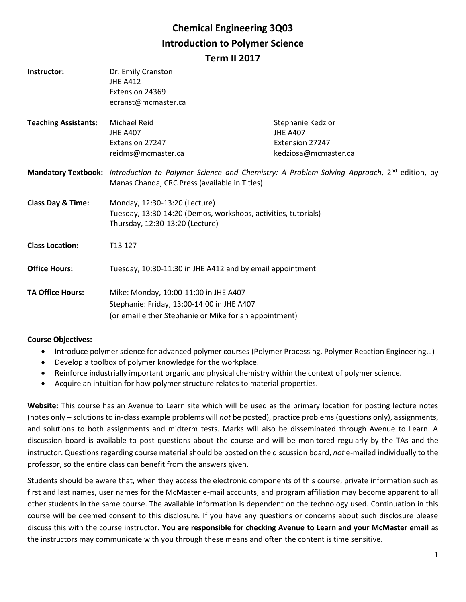# **Chemical Engineering 3Q03 Introduction to Polymer Science Term II 2017**

| Instructor:                  | Dr. Emily Cranston<br><b>JHE A412</b><br>Extension 24369<br>ecranst@mcmaster.ca                                                                                             |                                                                                 |  |
|------------------------------|-----------------------------------------------------------------------------------------------------------------------------------------------------------------------------|---------------------------------------------------------------------------------|--|
| <b>Teaching Assistants:</b>  | Michael Reid<br><b>JHE A407</b><br>Extension 27247<br>reidms@mcmaster.ca                                                                                                    | Stephanie Kedzior<br><b>JHE A407</b><br>Extension 27247<br>kedziosa@mcmaster.ca |  |
|                              | Mandatory Textbook: Introduction to Polymer Science and Chemistry: A Problem-Solving Approach, 2 <sup>nd</sup> edition, by<br>Manas Chanda, CRC Press (available in Titles) |                                                                                 |  |
| <b>Class Day &amp; Time:</b> | Monday, 12:30-13:20 (Lecture)<br>Tuesday, 13:30-14:20 (Demos, workshops, activities, tutorials)<br>Thursday, 12:30-13:20 (Lecture)                                          |                                                                                 |  |
| <b>Class Location:</b>       | T <sub>13</sub> 127                                                                                                                                                         |                                                                                 |  |
| <b>Office Hours:</b>         | Tuesday, 10:30-11:30 in JHE A412 and by email appointment                                                                                                                   |                                                                                 |  |
| <b>TA Office Hours:</b>      | Mike: Monday, 10:00-11:00 in JHE A407<br>Stephanie: Friday, 13:00-14:00 in JHE A407<br>(or email either Stephanie or Mike for an appointment)                               |                                                                                 |  |

## **Course Objectives:**

- Introduce polymer science for advanced polymer courses (Polymer Processing, Polymer Reaction Engineering...)
- Develop a toolbox of polymer knowledge for the workplace.
- Reinforce industrially important organic and physical chemistry within the context of polymer science.
- Acquire an intuition for how polymer structure relates to material properties.

**Website:** This course has an Avenue to Learn site which will be used as the primary location for posting lecture notes (notes only – solutions to in-class example problems will *not* be posted), practice problems (questions only), assignments, and solutions to both assignments and midterm tests. Marks will also be disseminated through Avenue to Learn. A discussion board is available to post questions about the course and will be monitored regularly by the TAs and the instructor. Questions regarding course material should be posted on the discussion board, *not* e-mailed individually to the professor, so the entire class can benefit from the answers given.

Students should be aware that, when they access the electronic components of this course, private information such as first and last names, user names for the McMaster e-mail accounts, and program affiliation may become apparent to all other students in the same course. The available information is dependent on the technology used. Continuation in this course will be deemed consent to this disclosure. If you have any questions or concerns about such disclosure please discuss this with the course instructor. **You are responsible for checking Avenue to Learn and your McMaster email** as the instructors may communicate with you through these means and often the content is time sensitive.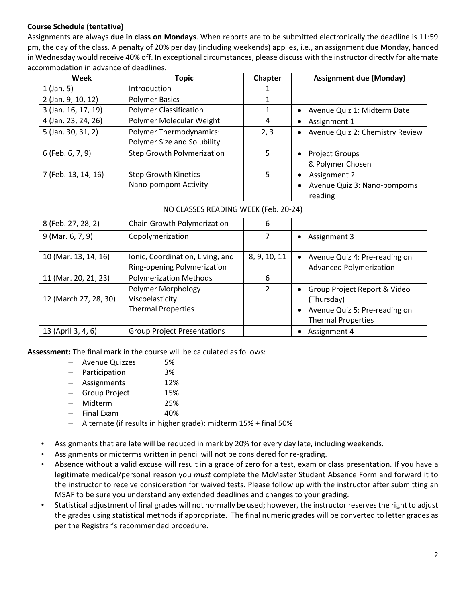## **Course Schedule (tentative)**

Assignments are always **due in class on Mondays**. When reports are to be submitted electronically the deadline is 11:59 pm, the day of the class. A penalty of 20% per day (including weekends) applies, i.e., an assignment due Monday, handed in Wednesday would receive 40% off. In exceptional circumstances, please discuss with the instructor directly for alternate accommodation in advance of deadlines.

| Week                                 | <b>Topic</b>                                                              | Chapter        | <b>Assignment due (Monday)</b>                                                                                        |  |
|--------------------------------------|---------------------------------------------------------------------------|----------------|-----------------------------------------------------------------------------------------------------------------------|--|
| $1$ (Jan. 5)                         | Introduction                                                              | 1              |                                                                                                                       |  |
| 2 (Jan. 9, 10, 12)                   | <b>Polymer Basics</b>                                                     | 1              |                                                                                                                       |  |
| 3 (Jan. 16, 17, 19)                  | <b>Polymer Classification</b>                                             | $\mathbf{1}$   | Avenue Quiz 1: Midterm Date<br>$\bullet$                                                                              |  |
| 4 (Jan. 23, 24, 26)                  | Polymer Molecular Weight                                                  | 4              | Assignment 1<br>٠                                                                                                     |  |
| 5 (Jan. 30, 31, 2)                   | <b>Polymer Thermodynamics:</b><br>Polymer Size and Solubility             | 2, 3           | Avenue Quiz 2: Chemistry Review                                                                                       |  |
| 6 (Feb. 6, 7, 9)                     | <b>Step Growth Polymerization</b>                                         | 5              | <b>Project Groups</b><br>& Polymer Chosen                                                                             |  |
| 7 (Feb. 13, 14, 16)                  | <b>Step Growth Kinetics</b><br>Nano-pompom Activity                       | 5              | Assignment 2<br>Avenue Quiz 3: Nano-pompoms<br>reading                                                                |  |
| NO CLASSES READING WEEK (Feb. 20-24) |                                                                           |                |                                                                                                                       |  |
| 8 (Feb. 27, 28, 2)                   | Chain Growth Polymerization                                               | 6              |                                                                                                                       |  |
| 9 (Mar. 6, 7, 9)                     | Copolymerization                                                          | 7              | Assignment 3<br>$\bullet$                                                                                             |  |
| 10 (Mar. 13, 14, 16)                 | Ionic, Coordination, Living, and<br>Ring-opening Polymerization           | 8, 9, 10, 11   | Avenue Quiz 4: Pre-reading on<br><b>Advanced Polymerization</b>                                                       |  |
| 11 (Mar. 20, 21, 23)                 | <b>Polymerization Methods</b>                                             | 6              |                                                                                                                       |  |
| 12 (March 27, 28, 30)                | <b>Polymer Morphology</b><br>Viscoelasticity<br><b>Thermal Properties</b> | $\overline{2}$ | Group Project Report & Video<br>$\bullet$<br>(Thursday)<br>Avenue Quiz 5: Pre-reading on<br><b>Thermal Properties</b> |  |
| 13 (April 3, 4, 6)                   | <b>Group Project Presentations</b>                                        |                | Assignment 4<br>$\bullet$                                                                                             |  |

**Assessment:** The final mark in the course will be calculated as follows:

- Avenue Quizzes 5%
- Participation 3%
- Assignments 12%
- Group Project 15%
- Midterm 25%
- Final Exam 40%
- Alternate (if results in higher grade): midterm 15% + final 50%
- Assignments that are late will be reduced in mark by 20% for every day late, including weekends.
- Assignments or midterms written in pencil will not be considered for re-grading.
- Absence without a valid excuse will result in a grade of zero for a test, exam or class presentation. If you have a legitimate medical/personal reason you *must* complete the McMaster Student Absence Form and forward it to the instructor to receive consideration for waived tests. Please follow up with the instructor after submitting an MSAF to be sure you understand any extended deadlines and changes to your grading.
- Statistical adjustment of final grades will not normally be used; however, the instructor reserves the right to adjust the grades using statistical methods if appropriate. The final numeric grades will be converted to letter grades as per the Registrar's recommended procedure.